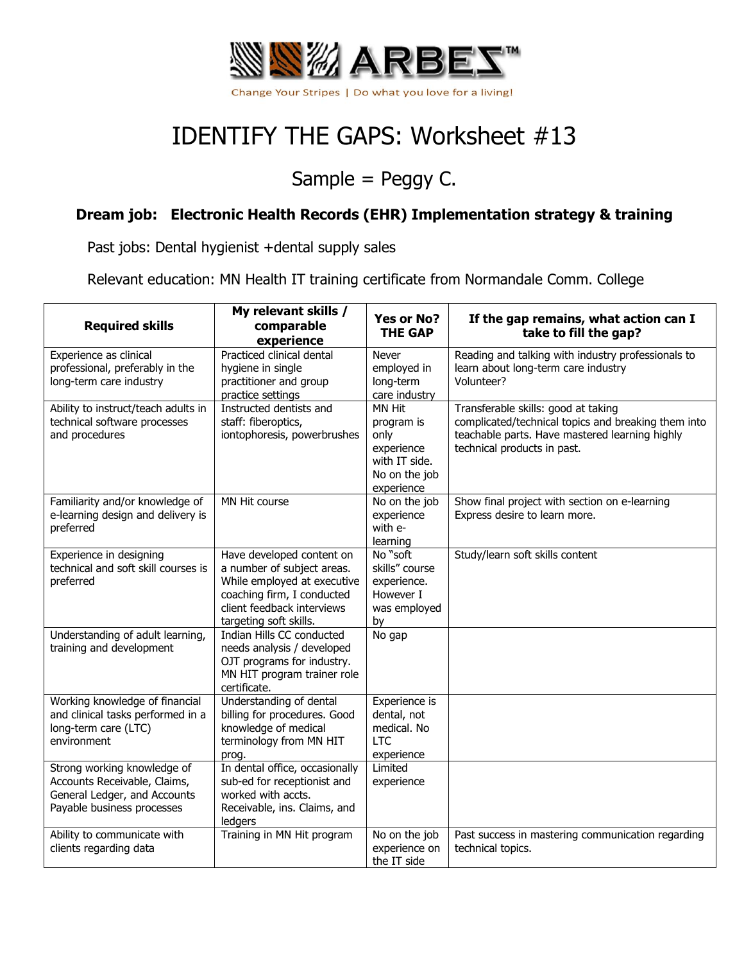

## IDENTIFY THE GAPS: Worksheet #13

## Sample = Peggy C.

## **Dream job: Electronic Health Records (EHR) Implementation strategy & training**

Past jobs: Dental hygienist +dental supply sales

Relevant education: MN Health IT training certificate from Normandale Comm. College

| <b>Required skills</b>                                                                                                    | My relevant skills /<br>comparable<br>experience                                                                                                                             | Yes or No?<br><b>THE GAP</b>                                                               | If the gap remains, what action can I<br>take to fill the gap?                                                                                                              |
|---------------------------------------------------------------------------------------------------------------------------|------------------------------------------------------------------------------------------------------------------------------------------------------------------------------|--------------------------------------------------------------------------------------------|-----------------------------------------------------------------------------------------------------------------------------------------------------------------------------|
| Experience as clinical<br>professional, preferably in the<br>long-term care industry                                      | Practiced clinical dental<br>hygiene in single<br>practitioner and group<br>practice settings                                                                                | Never<br>employed in<br>long-term<br>care industry                                         | Reading and talking with industry professionals to<br>learn about long-term care industry<br>Volunteer?                                                                     |
| Ability to instruct/teach adults in<br>technical software processes<br>and procedures                                     | Instructed dentists and<br>staff: fiberoptics,<br>iontophoresis, powerbrushes                                                                                                | MN Hit<br>program is<br>only<br>experience<br>with IT side.<br>No on the job<br>experience | Transferable skills: good at taking<br>complicated/technical topics and breaking them into<br>teachable parts. Have mastered learning highly<br>technical products in past. |
| Familiarity and/or knowledge of<br>e-learning design and delivery is<br>preferred                                         | MN Hit course                                                                                                                                                                | No on the job<br>experience<br>with e-<br>learning                                         | Show final project with section on e-learning<br>Express desire to learn more.                                                                                              |
| Experience in designing<br>technical and soft skill courses is<br>preferred                                               | Have developed content on<br>a number of subject areas.<br>While employed at executive<br>coaching firm, I conducted<br>client feedback interviews<br>targeting soft skills. | No "soft<br>skills" course<br>experience.<br>However I<br>was employed<br>by               | Study/learn soft skills content                                                                                                                                             |
| Understanding of adult learning,<br>training and development                                                              | Indian Hills CC conducted<br>needs analysis / developed<br>OJT programs for industry.<br>MN HIT program trainer role<br>certificate.                                         | No gap                                                                                     |                                                                                                                                                                             |
| Working knowledge of financial<br>and clinical tasks performed in a<br>long-term care (LTC)<br>environment                | Understanding of dental<br>billing for procedures. Good<br>knowledge of medical<br>terminology from MN HIT<br>prog.                                                          | Experience is<br>dental, not<br>medical. No<br><b>LTC</b><br>experience                    |                                                                                                                                                                             |
| Strong working knowledge of<br>Accounts Receivable, Claims,<br>General Ledger, and Accounts<br>Payable business processes | In dental office, occasionally<br>sub-ed for receptionist and<br>worked with accts.<br>Receivable, ins. Claims, and<br>ledgers                                               | Limited<br>experience                                                                      |                                                                                                                                                                             |
| Ability to communicate with<br>clients regarding data                                                                     | Training in MN Hit program                                                                                                                                                   | No on the job<br>experience on<br>the IT side                                              | Past success in mastering communication regarding<br>technical topics.                                                                                                      |